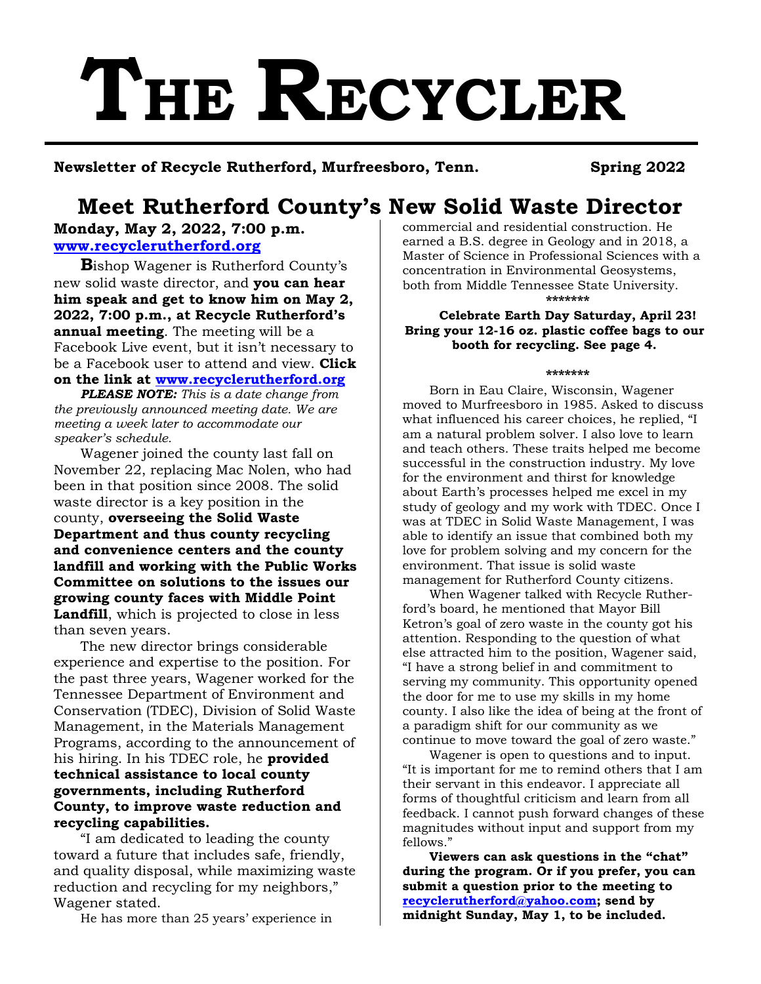# **THE RECYCLER**

**Newsletter of Recycle Rutherford, Murfreesboro, Tenn. Spring 2022**

# **Meet Rutherford County's New Solid Waste Director**

**Monday, May 2, 2022, 7:00 p.m. [www.recyclerutherford.org](http://www.recyclerutherford.org/)**

**B**ishop Wagener is Rutherford County's new solid waste director, and **you can hear him speak and get to know him on May 2, 2022, 7:00 p.m., at Recycle Rutherford's annual meeting**. The meeting will be a Facebook Live event, but it isn't necessary to be a Facebook user to attend and view. **Click on the link at [www.recyclerutherford.org](http://www.recyclerutherford.org/)**

*PLEASE NOTE: This is a date change from the previously announced meeting date. We are meeting a week later to accommodate our speaker's schedule.*

Wagener joined the county last fall on November 22, replacing Mac Nolen, who had been in that position since 2008. The solid waste director is a key position in the county, **overseeing the Solid Waste Department and thus county recycling and convenience centers and the county landfill and working with the Public Works Committee on solutions to the issues our growing county faces with Middle Point Landfill**, which is projected to close in less than seven years.

The new director brings considerable experience and expertise to the position. For the past three years, Wagener worked for the Tennessee Department of Environment and Conservation (TDEC), Division of Solid Waste Management, in the Materials Management Programs, according to the announcement of his hiring. In his TDEC role, he **provided technical assistance to local county governments, including Rutherford County, to improve waste reduction and recycling capabilities.**

"I am dedicated to leading the county toward a future that includes safe, friendly, and quality disposal, while maximizing waste reduction and recycling for my neighbors," Wagener stated.

He has more than 25 years' experience in

commercial and residential construction. He earned a B.S. degree in Geology and in 2018, a Master of Science in Professional Sciences with a concentration in Environmental Geosystems, both from Middle Tennessee State University. **\*\*\*\*\*\*\***

**Celebrate Earth Day Saturday, April 23! Bring your 12-16 oz. plastic coffee bags to our booth for recycling. See page 4.**

#### **\*\*\*\*\*\*\***

Born in Eau Claire, Wisconsin, Wagener moved to Murfreesboro in 1985. Asked to discuss what influenced his career choices, he replied, "I am a natural problem solver. I also love to learn and teach others. These traits helped me become successful in the construction industry. My love for the environment and thirst for knowledge about Earth's processes helped me excel in my study of geology and my work with TDEC. Once I was at TDEC in Solid Waste Management, I was able to identify an issue that combined both my love for problem solving and my concern for the environment. That issue is solid waste management for Rutherford County citizens.

When Wagener talked with Recycle Rutherford's board, he mentioned that Mayor Bill Ketron's goal of zero waste in the county got his attention. Responding to the question of what else attracted him to the position, Wagener said, "I have a strong belief in and commitment to serving my community. This opportunity opened the door for me to use my skills in my home county. I also like the idea of being at the front of a paradigm shift for our community as we continue to move toward the goal of zero waste."

Wagener is open to questions and to input. "It is important for me to remind others that I am their servant in this endeavor. I appreciate all forms of thoughtful criticism and learn from all feedback. I cannot push forward changes of these magnitudes without input and support from my fellows."

**Viewers can ask questions in the "chat" during the program. Or if you prefer, you can submit a question prior to the meeting to [recyclerutherford@yahoo.com;](mailto:recyclerutherford@yahoo.com) send by midnight Sunday, May 1, to be included.**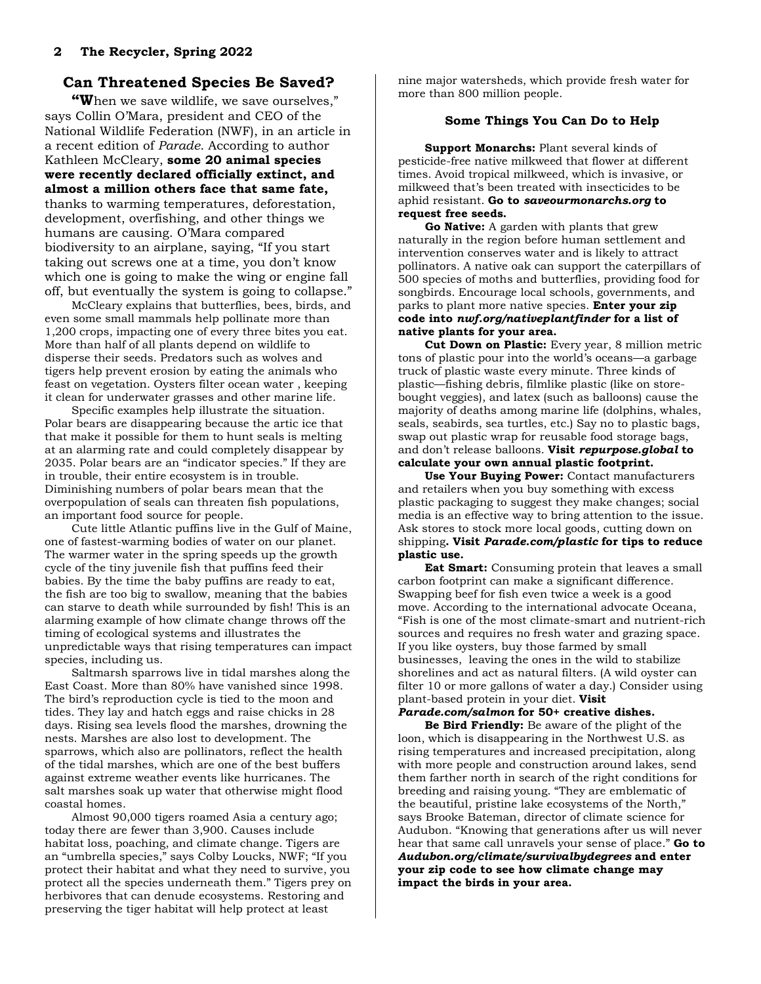# **Can Threatened Species Be Saved?**

**"W**hen we save wildlife, we save ourselves," says Collin O'Mara, president and CEO of the National Wildlife Federation (NWF), in an article in a recent edition of *Parade*. According to author Kathleen McCleary, **some 20 animal species were recently declared officially extinct, and almost a million others face that same fate,** thanks to warming temperatures, deforestation, development, overfishing, and other things we humans are causing. O'Mara compared biodiversity to an airplane, saying, "If you start taking out screws one at a time, you don't know which one is going to make the wing or engine fall off, but eventually the system is going to collapse."

McCleary explains that butterflies, bees, birds, and even some small mammals help pollinate more than 1,200 crops, impacting one of every three bites you eat. More than half of all plants depend on wildlife to disperse their seeds. Predators such as wolves and tigers help prevent erosion by eating the animals who feast on vegetation. Oysters filter ocean water , keeping it clean for underwater grasses and other marine life.

Specific examples help illustrate the situation. Polar bears are disappearing because the artic ice that that make it possible for them to hunt seals is melting at an alarming rate and could completely disappear by 2035. Polar bears are an "indicator species." If they are in trouble, their entire ecosystem is in trouble. Diminishing numbers of polar bears mean that the overpopulation of seals can threaten fish populations, an important food source for people.

Cute little Atlantic puffins live in the Gulf of Maine, one of fastest-warming bodies of water on our planet. The warmer water in the spring speeds up the growth cycle of the tiny juvenile fish that puffins feed their babies. By the time the baby puffins are ready to eat, the fish are too big to swallow, meaning that the babies can starve to death while surrounded by fish! This is an alarming example of how climate change throws off the timing of ecological systems and illustrates the unpredictable ways that rising temperatures can impact species, including us.

Saltmarsh sparrows live in tidal marshes along the East Coast. More than 80% have vanished since 1998. The bird's reproduction cycle is tied to the moon and tides. They lay and hatch eggs and raise chicks in 28 days. Rising sea levels flood the marshes, drowning the nests. Marshes are also lost to development. The sparrows, which also are pollinators, reflect the health of the tidal marshes, which are one of the best buffers against extreme weather events like hurricanes. The salt marshes soak up water that otherwise might flood coastal homes.

Almost 90,000 tigers roamed Asia a century ago; today there are fewer than 3,900. Causes include habitat loss, poaching, and climate change. Tigers are an "umbrella species," says Colby Loucks, NWF; "If you protect their habitat and what they need to survive, you protect all the species underneath them." Tigers prey on herbivores that can denude ecosystems. Restoring and preserving the tiger habitat will help protect at least

nine major watersheds, which provide fresh water for more than 800 million people.

#### **Some Things You Can Do to Help**

**Support Monarchs:** Plant several kinds of pesticide-free native milkweed that flower at different times. Avoid tropical milkweed, which is invasive, or milkweed that's been treated with insecticides to be aphid resistant. **Go to** *saveourmonarchs.org* **to request free seeds.**

**Go Native:** A garden with plants that grew naturally in the region before human settlement and intervention conserves water and is likely to attract pollinators. A native oak can support the caterpillars of 500 species of moths and butterflies, providing food for songbirds. Encourage local schools, governments, and parks to plant more native species. **Enter your zip code into** *nwf.org/nativeplantfinder* **for a list of native plants for your area.**

**Cut Down on Plastic:** Every year, 8 million metric tons of plastic pour into the world's oceans—a garbage truck of plastic waste every minute. Three kinds of plastic—fishing debris, filmlike plastic (like on storebought veggies), and latex (such as balloons) cause the majority of deaths among marine life (dolphins, whales, seals, seabirds, sea turtles, etc.) Say no to plastic bags, swap out plastic wrap for reusable food storage bags, and don't release balloons. **Visit** *repurpose.global* **to calculate your own annual plastic footprint.**

**Use Your Buying Power:** Contact manufacturers and retailers when you buy something with excess plastic packaging to suggest they make changes; social media is an effective way to bring attention to the issue. Ask stores to stock more local goods, cutting down on shipping**. Visit** *Parade.com/plastic* **for tips to reduce plastic use.**

**Eat Smart:** Consuming protein that leaves a small carbon footprint can make a significant difference. Swapping beef for fish even twice a week is a good move. According to the international advocate Oceana, "Fish is one of the most climate-smart and nutrient-rich sources and requires no fresh water and grazing space. If you like oysters, buy those farmed by small businesses, leaving the ones in the wild to stabilize shorelines and act as natural filters. (A wild oyster can filter 10 or more gallons of water a day.) Consider using plant-based protein in your diet. **Visit** 

#### *Parade.com/salmon* **for 50+ creative dishes.**

**Be Bird Friendly:** Be aware of the plight of the loon, which is disappearing in the Northwest U.S. as rising temperatures and increased precipitation, along with more people and construction around lakes, send them farther north in search of the right conditions for breeding and raising young. "They are emblematic of the beautiful, pristine lake ecosystems of the North," says Brooke Bateman, director of climate science for Audubon. "Knowing that generations after us will never hear that same call unravels your sense of place." **Go to** *Audubon.org/climate/survivalbydegrees* **and enter your zip code to see how climate change may impact the birds in your area.**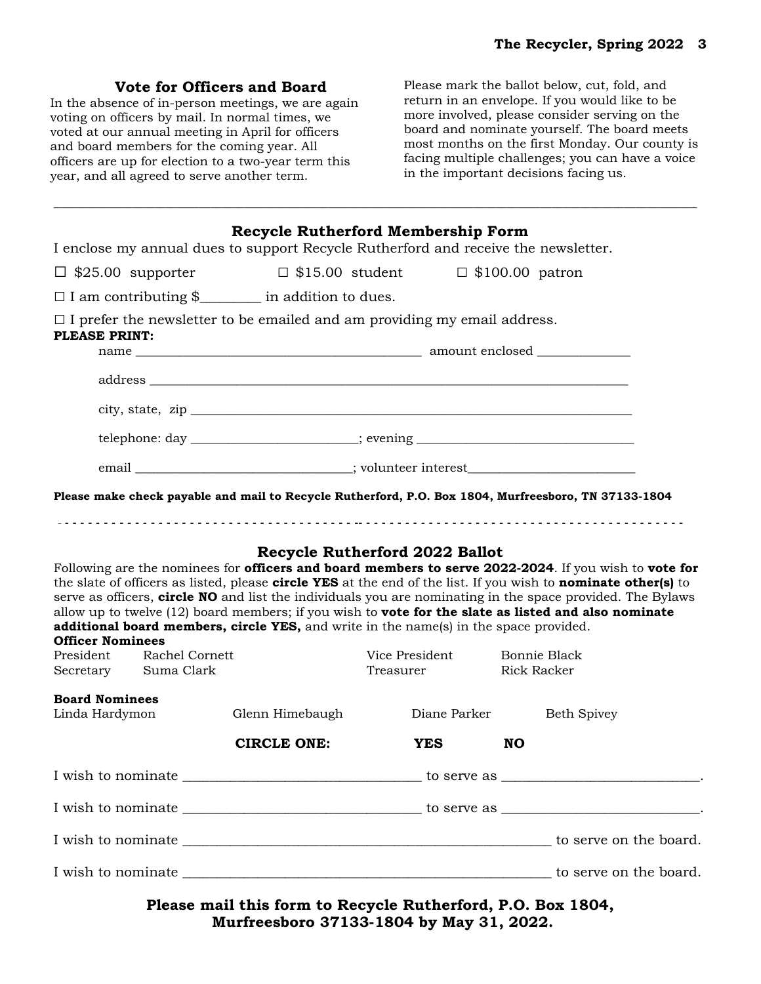## **Vote for Officers and Board**

In the absence of in-person meetings, we are again voting on officers by mail. In normal times, we voted at our annual meeting in April for officers and board members for the coming year. All officers are up for election to a two-year term this year, and all agreed to serve another term.

Please mark the ballot below, cut, fold, and return in an envelope. If you would like to be more involved, please consider serving on the board and nominate yourself. The board meets most months on the first Monday. Our county is facing multiple challenges; you can have a voice in the important decisions facing us.

| I enclose my annual dues to support Recycle Rutherford and receive the newsletter.                                                                                                                                                                                                                                                                                                                                                                                                                                                                                                       |                    | Recycle Rutherford Membership Form                                               |                                    |  |
|------------------------------------------------------------------------------------------------------------------------------------------------------------------------------------------------------------------------------------------------------------------------------------------------------------------------------------------------------------------------------------------------------------------------------------------------------------------------------------------------------------------------------------------------------------------------------------------|--------------------|----------------------------------------------------------------------------------|------------------------------------|--|
| $\Box$ \$25.00 supporter                                                                                                                                                                                                                                                                                                                                                                                                                                                                                                                                                                 |                    | $\Box$ \$15.00 student                                                           | $\Box$ \$100.00 patron             |  |
| $\Box$ I am contributing \$_________ in addition to dues.                                                                                                                                                                                                                                                                                                                                                                                                                                                                                                                                |                    |                                                                                  |                                    |  |
| $\Box$ I prefer the newsletter to be emailed and am providing my email address.<br>PLEASE PRINT:                                                                                                                                                                                                                                                                                                                                                                                                                                                                                         |                    |                                                                                  |                                    |  |
|                                                                                                                                                                                                                                                                                                                                                                                                                                                                                                                                                                                          |                    |                                                                                  |                                    |  |
|                                                                                                                                                                                                                                                                                                                                                                                                                                                                                                                                                                                          |                    |                                                                                  |                                    |  |
|                                                                                                                                                                                                                                                                                                                                                                                                                                                                                                                                                                                          |                    |                                                                                  |                                    |  |
|                                                                                                                                                                                                                                                                                                                                                                                                                                                                                                                                                                                          |                    | telephone: day _______________________; evening ________________________________ |                                    |  |
|                                                                                                                                                                                                                                                                                                                                                                                                                                                                                                                                                                                          |                    | email ____________________________; volunteer interest__________________________ |                                    |  |
| Please make check payable and mail to Recycle Rutherford, P.O. Box 1804, Murfreesboro, TN 37133-1804                                                                                                                                                                                                                                                                                                                                                                                                                                                                                     |                    |                                                                                  |                                    |  |
| Following are the nominees for officers and board members to serve 2022-2024. If you wish to vote for<br>the slate of officers as listed, please <b>circle YES</b> at the end of the list. If you wish to <b>nominate other(s)</b> to<br>serve as officers, circle NO and list the individuals you are nominating in the space provided. The Bylaws<br>allow up to twelve $(12)$ board members; if you wish to <b>vote for the slate as listed and also nominate</b><br>additional board members, circle YES, and write in the name(s) in the space provided.<br><b>Officer Nominees</b> |                    | Recycle Rutherford 2022 Ballot                                                   |                                    |  |
| President<br>Rachel Cornett<br>Secretary Suma Clark                                                                                                                                                                                                                                                                                                                                                                                                                                                                                                                                      |                    | Vice President<br>Treasurer                                                      | Bonnie Black<br><b>Rick Racker</b> |  |
| <b>Board Nominees</b><br>Linda Hardymon                                                                                                                                                                                                                                                                                                                                                                                                                                                                                                                                                  | Glenn Himebaugh    | Diane Parker                                                                     | <b>Beth Spivey</b>                 |  |
|                                                                                                                                                                                                                                                                                                                                                                                                                                                                                                                                                                                          | <b>CIRCLE ONE:</b> | <b>YES</b>                                                                       | <b>NO</b>                          |  |
|                                                                                                                                                                                                                                                                                                                                                                                                                                                                                                                                                                                          |                    |                                                                                  |                                    |  |
|                                                                                                                                                                                                                                                                                                                                                                                                                                                                                                                                                                                          |                    |                                                                                  |                                    |  |
| $\;$ I wish to nominate $\;$                                                                                                                                                                                                                                                                                                                                                                                                                                                                                                                                                             |                    |                                                                                  |                                    |  |
|                                                                                                                                                                                                                                                                                                                                                                                                                                                                                                                                                                                          |                    |                                                                                  |                                    |  |

\_\_\_\_\_\_\_\_\_\_\_\_\_\_\_\_\_\_\_\_\_\_\_\_\_\_\_\_\_\_\_\_\_\_\_\_\_\_\_\_\_\_\_\_\_\_\_\_\_\_\_\_\_\_\_\_\_\_\_\_\_\_\_\_\_\_\_\_\_\_\_\_\_\_\_\_\_\_\_\_\_\_\_\_\_\_\_\_\_\_\_\_\_\_\_\_\_\_\_\_\_\_\_\_\_\_\_\_\_\_\_\_\_\_\_

**Please mail this form to Recycle Rutherford, P.O. Box 1804, Murfreesboro 37133-1804 by May 31, 2022.**